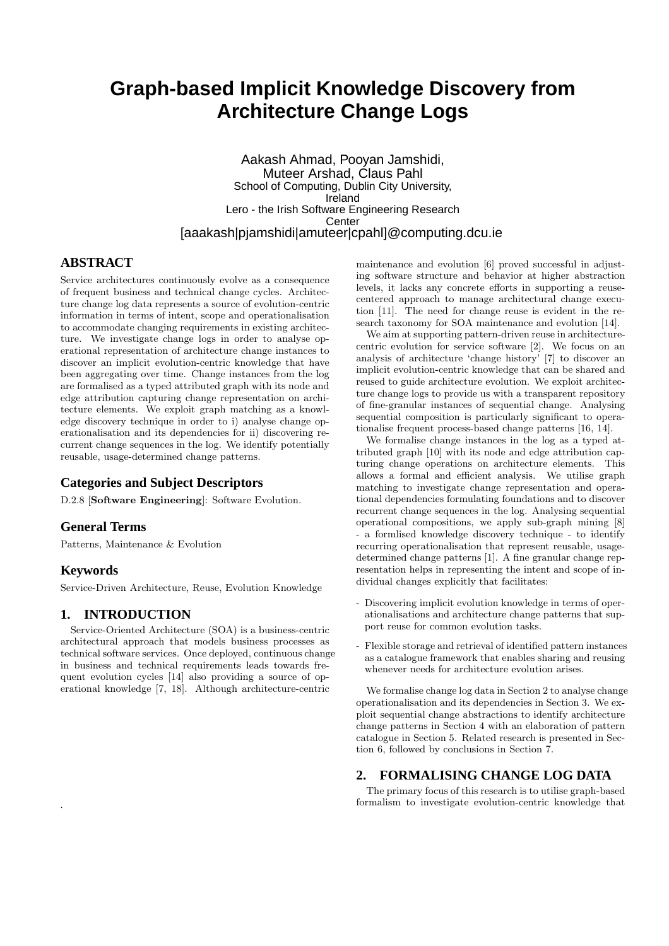# **Graph-based Implicit Knowledge Discovery from Architecture Change Logs**

#### Aakash Ahmad, Pooyan Jamshidi, Muteer Arshad, Claus Pahl School of Computing, Dublin City University, Ireland Lero - the Irish Software Engineering Research **Center** [aaakash|pjamshidi|amuteer|cpahl]@computing.dcu.ie

# **ABSTRACT**

Service architectures continuously evolve as a consequence of frequent business and technical change cycles. Architecture change log data represents a source of evolution-centric information in terms of intent, scope and operationalisation to accommodate changing requirements in existing architecture. We investigate change logs in order to analyse operational representation of architecture change instances to discover an implicit evolution-centric knowledge that have been aggregating over time. Change instances from the log are formalised as a typed attributed graph with its node and edge attribution capturing change representation on architecture elements. We exploit graph matching as a knowledge discovery technique in order to i) analyse change operationalisation and its dependencies for ii) discovering recurrent change sequences in the log. We identify potentially reusable, usage-determined change patterns.

## **Categories and Subject Descriptors**

D.2.8 [Software Engineering]: Software Evolution.

## **General Terms**

Patterns, Maintenance & Evolution

## **Keywords**

.

Service-Driven Architecture, Reuse, Evolution Knowledge

## **1. INTRODUCTION**

Service-Oriented Architecture (SOA) is a business-centric architectural approach that models business processes as technical software services. Once deployed, continuous change in business and technical requirements leads towards frequent evolution cycles [14] also providing a source of operational knowledge [7, 18]. Although architecture-centric

maintenance and evolution [6] proved successful in adjusting software structure and behavior at higher abstraction levels, it lacks any concrete efforts in supporting a reusecentered approach to manage architectural change execution [11]. The need for change reuse is evident in the research taxonomy for SOA maintenance and evolution [14].

We aim at supporting pattern-driven reuse in architecturecentric evolution for service software [2]. We focus on an analysis of architecture 'change history' [7] to discover an implicit evolution-centric knowledge that can be shared and reused to guide architecture evolution. We exploit architecture change logs to provide us with a transparent repository of fine-granular instances of sequential change. Analysing sequential composition is particularly significant to operationalise frequent process-based change patterns [16, 14].

We formalise change instances in the log as a typed attributed graph [10] with its node and edge attribution capturing change operations on architecture elements. This allows a formal and efficient analysis. We utilise graph matching to investigate change representation and operational dependencies formulating foundations and to discover recurrent change sequences in the log. Analysing sequential operational compositions, we apply sub-graph mining [8] - a formlised knowledge discovery technique - to identify recurring operationalisation that represent reusable, usagedetermined change patterns [1]. A fine granular change representation helps in representing the intent and scope of individual changes explicitly that facilitates:

- Discovering implicit evolution knowledge in terms of operationalisations and architecture change patterns that support reuse for common evolution tasks.
- Flexible storage and retrieval of identified pattern instances as a catalogue framework that enables sharing and reusing whenever needs for architecture evolution arises.

We formalise change log data in Section 2 to analyse change operationalisation and its dependencies in Section 3. We exploit sequential change abstractions to identify architecture change patterns in Section 4 with an elaboration of pattern catalogue in Section 5. Related research is presented in Section 6, followed by conclusions in Section 7.

## **2. FORMALISING CHANGE LOG DATA**

The primary focus of this research is to utilise graph-based formalism to investigate evolution-centric knowledge that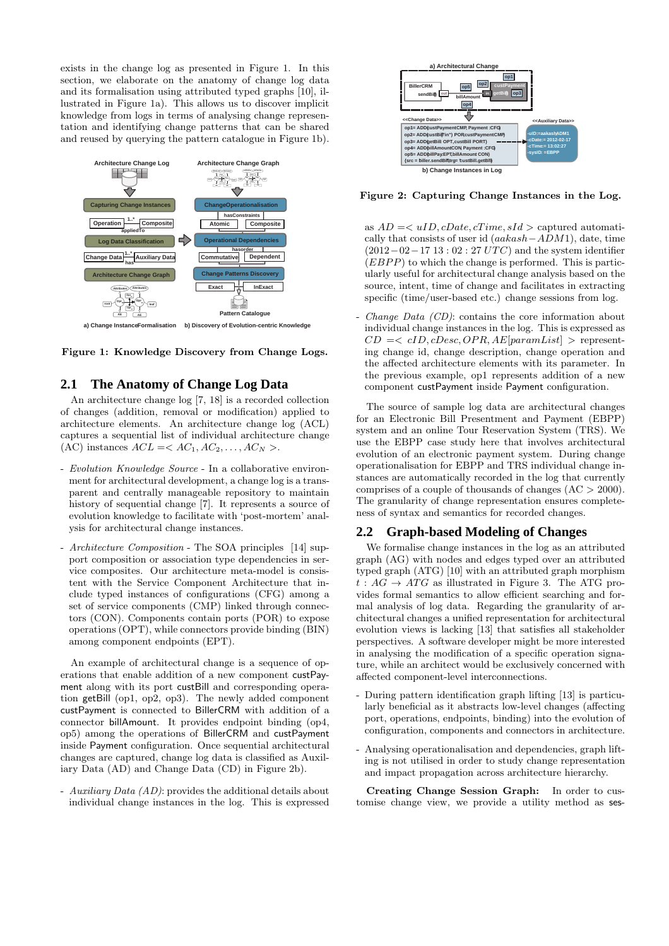exists in the change log as presented in Figure 1. In this section, we elaborate on the anatomy of change log data and its formalisation using attributed typed graphs [10], illustrated in Figure 1a). This allows us to discover implicit knowledge from logs in terms of analysing change representation and identifying change patterns that can be shared and reused by querying the pattern catalogue in Figure 1b).



Figure 1: Knowledge Discovery from Change Logs.

# **2.1 The Anatomy of Change Log Data**

An architecture change log [7, 18] is a recorded collection of changes (addition, removal or modification) applied to architecture elements. An architecture change log (ACL) captures a sequential list of individual architecture change (AC) instances  $ACL = < AC_1, AC_2, \ldots, AC_N >$ .

- *Evolution Knowledge Source* In a collaborative environment for architectural development, a change log is a transparent and centrally manageable repository to maintain history of sequential change [7]. It represents a source of evolution knowledge to facilitate with 'post-mortem' analysis for architectural change instances.
- *Architecture Composition* The SOA principles [14] support composition or association type dependencies in service composites. Our architecture meta-model is consistent with the Service Component Architecture that include typed instances of configurations (CFG) among a set of service components (CMP) linked through connectors (CON). Components contain ports (POR) to expose operations (OPT), while connectors provide binding (BIN) among component endpoints (EPT).

An example of architectural change is a sequence of operations that enable addition of a new component custPayment along with its port custBill and corresponding operation getBill (op1, op2, op3). The newly added component custPayment is connected to BillerCRM with addition of a connector billAmount. It provides endpoint binding (op4, op5) among the operations of BillerCRM and custPayment inside Payment configuration. Once sequential architectural changes are captured, change log data is classified as Auxiliary Data (AD) and Change Data (CD) in Figure 2b).

- *Auxiliary Data (AD)*: provides the additional details about individual change instances in the log. This is expressed



Figure 2: Capturing Change Instances in the Log.

as  $AD = \langle uID, cDate, cTime, sId \rangle$  captured automatically that consists of user id (aakash−ADM1), date, time  $(2012-02-1713:02:27 UTC)$  and the system identifier  $(EBPP)$  to which the change is performed. This is particularly useful for architectural change analysis based on the source, intent, time of change and facilitates in extracting specific (time/user-based etc.) change sessions from log.

*Change Data (CD)*: contains the core information about individual change instances in the log. This is expressed as  $CD \leq cID, cDesc, OPR, AE[paramList] > represent$ ing change id, change description, change operation and the affected architecture elements with its parameter. In the previous example, op1 represents addition of a new component custPayment inside Payment configuration.

The source of sample log data are architectural changes for an Electronic Bill Presentment and Payment (EBPP) system and an online Tour Reservation System (TRS). We use the EBPP case study here that involves architectural evolution of an electronic payment system. During change operationalisation for EBPP and TRS individual change instances are automatically recorded in the log that currently comprises of a couple of thousands of changes  $(AC > 2000)$ . The granularity of change representation ensures completeness of syntax and semantics for recorded changes.

#### **2.2 Graph-based Modeling of Changes**

We formalise change instances in the log as an attributed graph (AG) with nodes and edges typed over an attributed typed graph (ATG) [10] with an attributed graph morphism  $t: AG \rightarrow ATG$  as illustrated in Figure 3. The ATG provides formal semantics to allow efficient searching and formal analysis of log data. Regarding the granularity of architectural changes a unified representation for architectural evolution views is lacking [13] that satisfies all stakeholder perspectives. A software developer might be more interested in analysing the modification of a specific operation signature, while an architect would be exclusively concerned with affected component-level interconnections.

- During pattern identification graph lifting [13] is particularly beneficial as it abstracts low-level changes (affecting port, operations, endpoints, binding) into the evolution of configuration, components and connectors in architecture.
- Analysing operationalisation and dependencies, graph lifting is not utilised in order to study change representation and impact propagation across architecture hierarchy.

Creating Change Session Graph: In order to customise change view, we provide a utility method as ses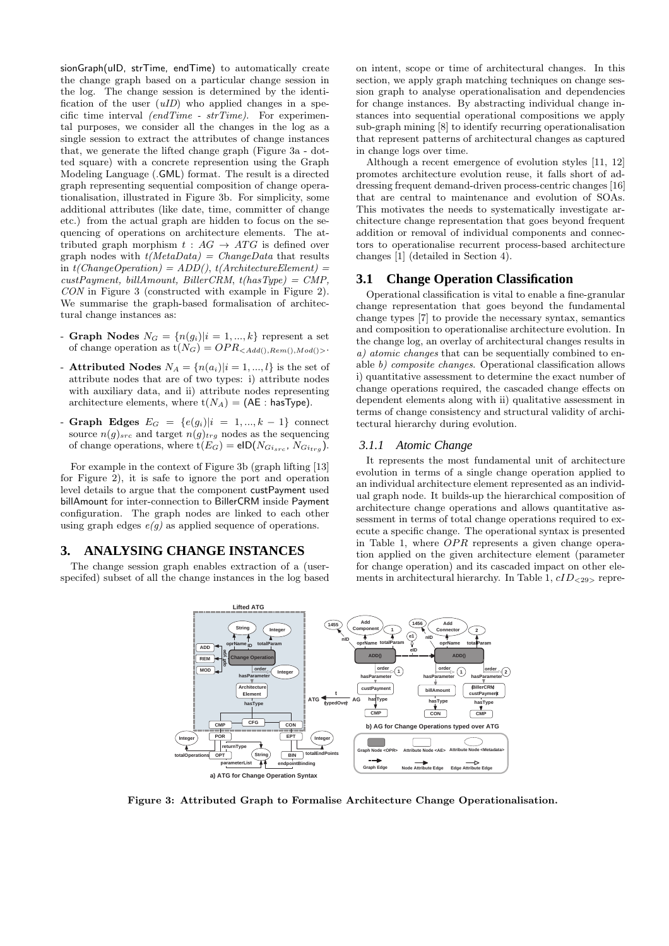sionGraph(uID, strTime, endTime) to automatically create the change graph based on a particular change session in the log. The change session is determined by the identification of the user (*uID*) who applied changes in a specific time interval *(endTime - strTime)*. For experimental purposes, we consider all the changes in the log as a single session to extract the attributes of change instances that, we generate the lifted change graph (Figure 3a - dotted square) with a concrete represention using the Graph Modeling Language (.GML) format. The result is a directed graph representing sequential composition of change operationalisation, illustrated in Figure 3b. For simplicity, some additional attributes (like date, time, committer of change etc.) from the actual graph are hidden to focus on the sequencing of operations on architecture elements. The attributed graph morphism  $t : AG \rightarrow ATG$  is defined over graph nodes with *t(MetaData) = ChangeData* that results in *t(ChangeOperation) = ADD()*, *t(ArchitectureElement) = custPayment, billAmount, BillerCRM*, *t(hasType) = CMP, CON* in Figure 3 (constructed with example in Figure 2). We summarise the graph-based formalisation of architectural change instances as:

- Graph Nodes  $N_G = \{n(g_i)|i = 1, ..., k\}$  represent a set of change operation as  $t(N_G) = OPR_{}$ .
- **Attributed Nodes**  $N_A = \{n(a_i)|i = 1, ..., l\}$  is the set of attribute nodes that are of two types: i) attribute nodes with auxiliary data, and ii) attribute nodes representing architecture elements, where  $t(N_A) = (AE : hasType)$ .
- Graph Edges  $E_G = \{e(g_i)|i = 1, ..., k-1\}$  connect source  $n(g)_{src}$  and target  $n(g)_{trg}$  nodes as the sequencing of change operations, where  $t(E_G) = eID(N_{Gi_{src}}, N_{Gi_{trg}})$ .

For example in the context of Figure 3b (graph lifting [13] for Figure 2), it is safe to ignore the port and operation level details to argue that the component custPayment used billAmount for inter-connection to BillerCRM inside Payment configuration. The graph nodes are linked to each other using graph edges  $e(g)$  as applied sequence of operations.

## **3. ANALYSING CHANGE INSTANCES**

The change session graph enables extraction of a (userspecifed) subset of all the change instances in the log based

on intent, scope or time of architectural changes. In this section, we apply graph matching techniques on change session graph to analyse operationalisation and dependencies for change instances. By abstracting individual change instances into sequential operational compositions we apply sub-graph mining [8] to identify recurring operationalisation that represent patterns of architectural changes as captured in change logs over time.

Although a recent emergence of evolution styles [11, 12] promotes architecture evolution reuse, it falls short of addressing frequent demand-driven process-centric changes [16] that are central to maintenance and evolution of SOAs. This motivates the needs to systematically investigate architecture change representation that goes beyond frequent addition or removal of individual components and connectors to operationalise recurrent process-based architecture changes [1] (detailed in Section 4).

#### **3.1 Change Operation Classification**

Operational classification is vital to enable a fine-granular change representation that goes beyond the fundamental change types [7] to provide the necessary syntax, semantics and composition to operationalise architecture evolution. In the change log, an overlay of architectural changes results in *a) atomic changes* that can be sequentially combined to enable *b) composite changes*. Operational classification allows i) quantitative assessment to determine the exact number of change operations required, the cascaded change effects on dependent elements along with ii) qualitative assessment in terms of change consistency and structural validity of architectural hierarchy during evolution.

#### *3.1.1 Atomic Change*

It represents the most fundamental unit of architecture evolution in terms of a single change operation applied to an individual architecture element represented as an individual graph node. It builds-up the hierarchical composition of architecture change operations and allows quantitative assessment in terms of total change operations required to execute a specific change. The operational syntax is presented in Table 1, where  $OPR$  represents a given change operation applied on the given architecture element (parameter for change operation) and its cascaded impact on other elements in architectural hierarchy. In Table 1,  $cID_{<29>}$  repre-



Figure 3: Attributed Graph to Formalise Architecture Change Operationalisation.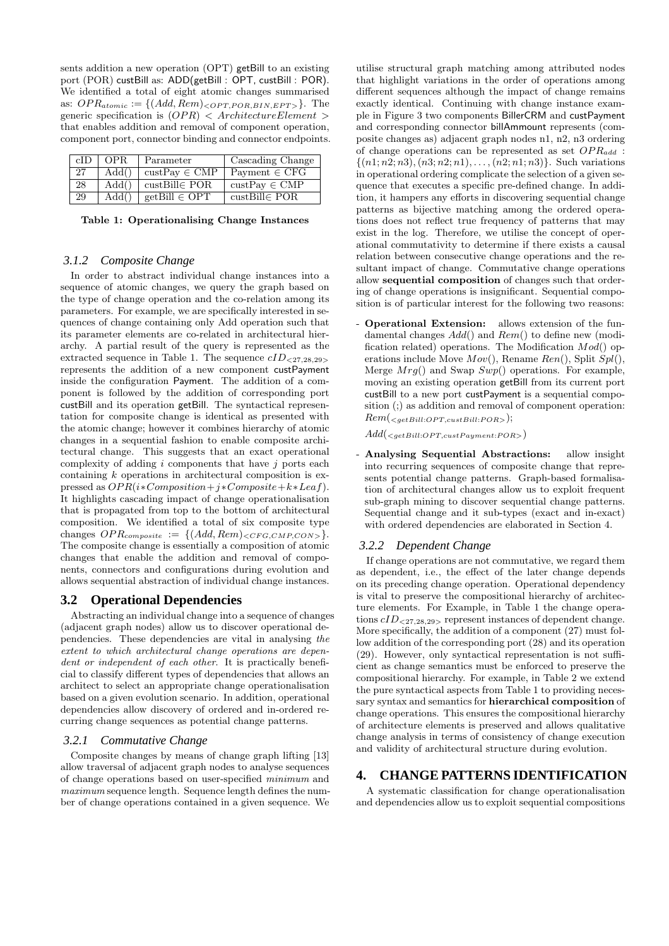sents addition a new operation (OPT) getBill to an existing port (POR) custBill as: ADD(getBill : OPT, custBill : POR). We identified a total of eight atomic changes summarised as:  $OPR_{atomic} := \{(Add, Rem)_{\leq OPT, POR, BIN, EPT>} \}$ . The generic specification is  $(OPR) < ArchitectureElement >$ that enables addition and removal of component operation, component port, connector binding and connector endpoints.

| cID | OPR.  | Parameter                        | Cascading Change                 |
|-----|-------|----------------------------------|----------------------------------|
| 27  | Add() | $\text{custPay} \in \text{CMP}$  | Payment $\in$ CFG                |
| 28  | Add() | $\text{custBill} \in \text{POR}$ | $\text{custPav} \in \text{CMP}$  |
| 29  | Add() | $getBill \in OPT$                | $\text{custBill} \in \text{POR}$ |

|  | Table 1: Operationalising Change Instances |  |  |
|--|--------------------------------------------|--|--|
|--|--------------------------------------------|--|--|

#### *3.1.2 Composite Change*

In order to abstract individual change instances into a sequence of atomic changes, we query the graph based on the type of change operation and the co-relation among its parameters. For example, we are specifically interested in sequences of change containing only Add operation such that its parameter elements are co-related in architectural hierarchy. A partial result of the query is represented as the extracted sequence in Table 1. The sequence  $\text{cID}_{\leq 27,28,29>}$ represents the addition of a new component custPayment inside the configuration Payment. The addition of a component is followed by the addition of corresponding port custBill and its operation getBill. The syntactical representation for composite change is identical as presented with the atomic change; however it combines hierarchy of atomic changes in a sequential fashion to enable composite architectural change. This suggests that an exact operational complexity of adding  $i$  components that have  $j$  ports each containing k operations in architectural composition is expressed as  $OPR(i*Composition + j*Composite + k*Leaf)$ . It highlights cascading impact of change operationalisation that is propagated from top to the bottom of architectural composition. We identified a total of six composite type changes  $OPR_{composite} := \{(Add, Rem)_{\lt CFG,CMP,CON>} \}.$ The composite change is essentially a composition of atomic changes that enable the addition and removal of components, connectors and configurations during evolution and allows sequential abstraction of individual change instances.

#### **3.2 Operational Dependencies**

Abstracting an individual change into a sequence of changes (adjacent graph nodes) allow us to discover operational dependencies. These dependencies are vital in analysing *the extent to which architectural change operations are dependent or independent of each other*. It is practically beneficial to classify different types of dependencies that allows an architect to select an appropriate change operationalisation based on a given evolution scenario. In addition, operational dependencies allow discovery of ordered and in-ordered recurring change sequences as potential change patterns.

#### *3.2.1 Commutative Change*

Composite changes by means of change graph lifting [13] allow traversal of adjacent graph nodes to analyse sequences of change operations based on user-specified *minimum* and *maximum* sequence length. Sequence length defines the number of change operations contained in a given sequence. We

utilise structural graph matching among attributed nodes that highlight variations in the order of operations among different sequences although the impact of change remains exactly identical. Continuing with change instance example in Figure 3 two components BillerCRM and custPayment and corresponding connector billAmmount represents (composite changes as) adjacent graph nodes n1, n2, n3 ordering of change operations can be represented as set  $OPR_{add}$ :  $\{(n1; n2; n3), (n3; n2; n1), \ldots, (n2; n1; n3)\}.$  Such variations in operational ordering complicate the selection of a given sequence that executes a specific pre-defined change. In addition, it hampers any efforts in discovering sequential change patterns as bijective matching among the ordered operations does not reflect true frequency of patterns that may exist in the log. Therefore, we utilise the concept of operational commutativity to determine if there exists a causal relation between consecutive change operations and the resultant impact of change. Commutative change operations allow sequential composition of changes such that ordering of change operations is insignificant. Sequential composition is of particular interest for the following two reasons:

- Operational Extension: allows extension of the fundamental changes  $Add()$  and  $Rem()$  to define new (modification related) operations. The Modification  $Mod()$  operations include Move  $Mov()$ , Rename  $Ren()$ , Split  $Spl()$ , Merge  $Mrg()$  and Swap  $Swp()$  operations. For example, moving an existing operation getBill from its current port custBill to a new port custPayment is a sequential composition (;) as addition and removal of component operation:  $Rem(*getBill:OPT*, *cuts:Bulk:POR>*)$ ;

 $Add({}_{\leq getBill:OPT, customPayment:POR>} )$ 

Analysing Sequential Abstractions: allow insight into recurring sequences of composite change that represents potential change patterns. Graph-based formalisation of architectural changes allow us to exploit frequent sub-graph mining to discover sequential change patterns. Sequential change and it sub-types (exact and in-exact) with ordered dependencies are elaborated in Section 4.

#### *3.2.2 Dependent Change*

If change operations are not commutative, we regard them as dependent, i.e., the effect of the later change depends on its preceding change operation. Operational dependency is vital to preserve the compositional hierarchy of architecture elements. For Example, in Table 1 the change operations  $cID_{<27,28,29>}$  represent instances of dependent change. More specifically, the addition of a component (27) must follow addition of the corresponding port (28) and its operation (29). However, only syntactical representation is not sufficient as change semantics must be enforced to preserve the compositional hierarchy. For example, in Table 2 we extend the pure syntactical aspects from Table 1 to providing necessary syntax and semantics for hierarchical composition of change operations. This ensures the compositional hierarchy of architecture elements is preserved and allows qualitative change analysis in terms of consistency of change execution and validity of architectural structure during evolution.

#### **4. CHANGE PATTERNS IDENTIFICATION**

A systematic classification for change operationalisation and dependencies allow us to exploit sequential compositions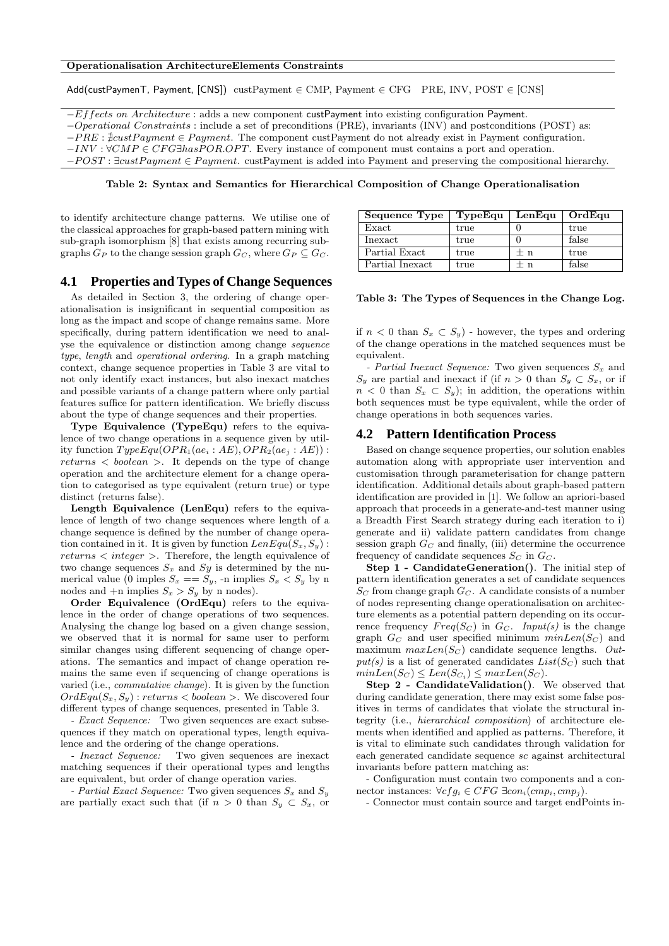Add(custPaymenT, Payment, [CNS]) custPayment ∈ CMP, Payment ∈ CFG PRE, INV, POST ∈ [CNS]

−Effects on Architecture : adds a new component custPayment into existing configuration Payment.

−Operational Constraints : include a set of preconditions (PRE), invariants (INV) and postconditions (POST) as:

 $-PRE : \frac{3}{2}custPayment \in Payment$ . The component custPayment do not already exist in Payment configuration.

 $-INV : \forall CMP \in CFG \exists has POR. OPT$ . Every instance of component must contains a port and operation.

 $-POST : \exists cut Payment \in Payment$ . custPayment is added into Payment and preserving the compositional hierarchy.

Table 2: Syntax and Semantics for Hierarchical Composition of Change Operationalisation

to identify architecture change patterns. We utilise one of the classical approaches for graph-based pattern mining with sub-graph isomorphism [8] that exists among recurring subgraphs  $G_P$  to the change session graph  $G_C$ , where  $G_P \subseteq G_C$ .

#### **4.1 Properties and Types of Change Sequences**

As detailed in Section 3, the ordering of change operationalisation is insignificant in sequential composition as long as the impact and scope of change remains same. More specifically, during pattern identification we need to analyse the equivalence or distinction among change *sequence type*, *length* and *operational ordering*. In a graph matching context, change sequence properties in Table 3 are vital to not only identify exact instances, but also inexact matches and possible variants of a change pattern where only partial features suffice for pattern identification. We briefly discuss about the type of change sequences and their properties.

Type Equivalence (TypeEqu) refers to the equivalence of two change operations in a sequence given by utility function  $TypeEqu(OPR<sub>1</sub>(ae<sub>i</sub>: AE), OPR<sub>2</sub>(ae<sub>i</sub>: AE))$ :  $returns < boolean >$ . It depends on the type of change operation and the architecture element for a change operation to categorised as type equivalent (return true) or type distinct (returns false).

Length Equivalence (LenEqu) refers to the equivalence of length of two change sequences where length of a change sequence is defined by the number of change operation contained in it. It is given by function  $LenEqu(S_x, S_y)$ : returns < integer >. Therefore, the length equivalence of two change sequences  $S_x$  and  $Sy$  is determined by the numerical value (0 imples  $S_x == S_y$ , -n implies  $S_x < S_y$  by n nodes and  $+n$  implies  $S_x > S_y$  by n nodes).

Order Equivalence (OrdEqu) refers to the equivalence in the order of change operations of two sequences. Analysing the change log based on a given change session, we observed that it is normal for same user to perform similar changes using different sequencing of change operations. The semantics and impact of change operation remains the same even if sequencing of change operations is varied (i.e., *commutative change*). It is given by the function  $OrdEqu(S_x, S_y)$ : returns  $\lt$  boolean  $\gt$ . We discovered four different types of change sequences, presented in Table 3.

*- Exact Sequence:* Two given sequences are exact subsequences if they match on operational types, length equivalence and the ordering of the change operations.

*- Inexact Sequence:* Two given sequences are inexact matching sequences if their operational types and lengths are equivalent, but order of change operation varies.

*- Partial Exact Sequence:* Two given sequences  $S_x$  and  $S_y$ are partially exact such that (if  $n > 0$  than  $S_y \subset S_x$ , or

| Sequence Type     | TypeEqu | LenEqu | OrdEqu |
|-------------------|---------|--------|--------|
| Exact             | true    |        | true   |
| $_{\rm{Inexact}}$ | true    |        | false  |
| Partial Exact     | true    | $+$ n  | true   |
| Partial Inexact   | true    | $+$ n  | false  |

Table 3: The Types of Sequences in the Change Log.

if  $n < 0$  than  $S_x \subset S_y$ ) - however, the types and ordering of the change operations in the matched sequences must be equivalent.

*- Partial Inexact Sequence:* Two given sequences  $S_x$  and  $S_y$  are partial and inexact if (if  $n > 0$  than  $S_y \subset S_x$ , or if  $n < 0$  than  $S_x \subset S_y$ ; in addition, the operations within both sequences must be type equivalent, while the order of change operations in both sequences varies.

#### **4.2 Pattern Identification Process**

Based on change sequence properties, our solution enables automation along with appropriate user intervention and customisation through parameterisation for change pattern identification. Additional details about graph-based pattern identification are provided in [1]. We follow an apriori-based approach that proceeds in a generate-and-test manner using a Breadth First Search strategy during each iteration to i) generate and ii) validate pattern candidates from change session graph  $G_C$  and finally, (iii) determine the occurrence frequency of candidate sequences  $S_C$  in  $G_C$ .

Step 1 - CandidateGeneration(). The initial step of pattern identification generates a set of candidate sequences  $S_C$  from change graph  $G_C$ . A candidate consists of a number of nodes representing change operationalisation on architecture elements as a potential pattern depending on its occurrence frequency  $Freq(S_C)$  in  $G_C$ . *Input(s)* is the change graph  $G_C$  and user specified minimum  $minLen(S_C)$  and maximum  $maxLen(S_C)$  candidate sequence lengths. Out $put(s)$  is a list of generated candidates  $List(S_C)$  such that  $minLen(S_C) \leq Len(S_{C_i}) \leq maxLen(S_C).$ 

Step 2 - CandidateValidation(). We observed that during candidate generation, there may exist some false positives in terms of candidates that violate the structural integrity (i.e., *hierarchical composition*) of architecture elements when identified and applied as patterns. Therefore, it is vital to eliminate such candidates through validation for each generated candidate sequence sc against architectural invariants before pattern matching as:

- Configuration must contain two components and a connector instances:  $\forall c fg_i \in CFG \exists con_i (cmp_i,cmp_i).$ 

- Connector must contain source and target endPoints in-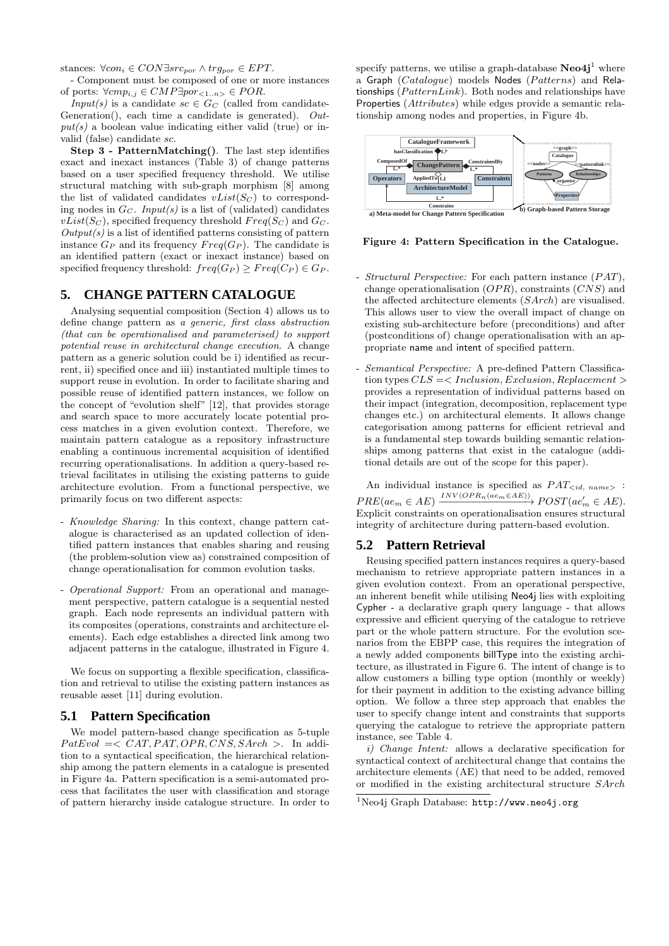stances:  $\forall con_i \in CON\exists src_{por} \land trg_{por} \in EPT$ .

- Component must be composed of one or more instances of ports:  $\forall cm p_{i,j} \in CMP\exists por_{<1..n>} \in POR.$ 

*Input(s)* is a candidate  $sc \in G_C$  (called from candidate-Generation(), each time a candidate is generated). *Out* $put(s)$  a boolean value indicating either valid (true) or invalid (false) candidate sc.

Step 3 - PatternMatching(). The last step identifies exact and inexact instances (Table 3) of change patterns based on a user specified frequency threshold. We utilise structural matching with sub-graph morphism [8] among the list of validated candidates  $vList(S_C)$  to corresponding nodes in  $G_C$ . *Input(s)* is a list of (validated) candidates  $vList(S_C)$ , specified frequency threshold  $Freq(S_C)$  and  $G_C$ . *Output(s)* is a list of identified patterns consisting of pattern instance  $G_P$  and its frequency  $Freq(G_P)$ . The candidate is an identified pattern (exact or inexact instance) based on specified frequency threshold:  $freq(G_P) \geq Freq(C_P) \in G_P$ .

# **5. CHANGE PATTERN CATALOGUE**

Analysing sequential composition (Section 4) allows us to define change pattern as *a generic, first class abstraction (that can be operationalised and parameterised) to support potential reuse in architectural change execution*. A change pattern as a generic solution could be i) identified as recurrent, ii) specified once and iii) instantiated multiple times to support reuse in evolution. In order to facilitate sharing and possible reuse of identified pattern instances, we follow on the concept of "evolution shelf" [12], that provides storage and search space to more accurately locate potential process matches in a given evolution context. Therefore, we maintain pattern catalogue as a repository infrastructure enabling a continuous incremental acquisition of identified recurring operationalisations. In addition a query-based retrieval facilitates in utilising the existing patterns to guide architecture evolution. From a functional perspective, we primarily focus on two different aspects:

- *Knowledge Sharing:* In this context, change pattern catalogue is characterised as an updated collection of identified pattern instances that enables sharing and reusing (the problem-solution view as) constrained composition of change operationalisation for common evolution tasks.
- *Operational Support:* From an operational and management perspective, pattern catalogue is a sequential nested graph. Each node represents an individual pattern with its composites (operations, constraints and architecture elements). Each edge establishes a directed link among two adjacent patterns in the catalogue, illustrated in Figure 4.

We focus on supporting a flexible specification, classification and retrieval to utilise the existing pattern instances as reusable asset [11] during evolution.

## **5.1 Pattern Specification**

We model pattern-based change specification as 5-tuple  $PatEval \equiv \langle CAT, PAT, OPR, CNS, SArch \rangle$ . In addition to a syntactical specification, the hierarchical relationship among the pattern elements in a catalogue is presented in Figure 4a. Pattern specification is a semi-automated process that facilitates the user with classification and storage of pattern hierarchy inside catalogue structure. In order to

specify patterns, we utilise a graph-database  $\textbf{Neo4j}^1$  where a Graph  $(Catalogue)$  models Nodes  $(Patters)$  and Relationships  $(PatternLink)$ . Both nodes and relationships have Properties (Attributes) while edges provide a semantic relationship among nodes and properties, in Figure 4b.



Figure 4: Pattern Specification in the Catalogue.

- *Structural Perspective:* For each pattern instance  $(PAT)$ , change operationalisation  $OPR$ , constraints  $(CNS)$  and the affected architecture elements (SArch) are visualised. This allows user to view the overall impact of change on existing sub-architecture before (preconditions) and after (postconditions of) change operationalisation with an appropriate name and intent of specified pattern.
- *Semantical Perspective:* A pre-defined Pattern Classification types  $CLS \leq$  Inclusion, Exclusion, Replacement > provides a representation of individual patterns based on their impact (integration, decomposition, replacement type changes etc.) on architectural elements. It allows change categorisation among patterns for efficient retrieval and is a fundamental step towards building semantic relationships among patterns that exist in the catalogue (additional details are out of the scope for this paper).

An individual instance is specified as  $PAT_{< id, name>}$ :  $PRE(ae_m \in AE) \xrightarrow{INV(OPR_n(ae_m \in AE))} POST(ae'_m \in AE).$ Explicit constraints on operationalisation ensures structural integrity of architecture during pattern-based evolution.

## **5.2 Pattern Retrieval**

Reusing specified pattern instances requires a query-based mechanism to retrieve appropriate pattern instances in a given evolution context. From an operational perspective, an inherent benefit while utilising Neo4j lies with exploiting Cypher - a declarative graph query language - that allows expressive and efficient querying of the catalogue to retrieve part or the whole pattern structure. For the evolution scenarios from the EBPP case, this requires the integration of a newly added components billType into the existing architecture, as illustrated in Figure 6. The intent of change is to allow customers a billing type option (monthly or weekly) for their payment in addition to the existing advance billing option. We follow a three step approach that enables the user to specify change intent and constraints that supports querying the catalogue to retrieve the appropriate pattern instance, see Table 4.

*i) Change Intent:* allows a declarative specification for syntactical context of architectural change that contains the architecture elements (AE) that need to be added, removed or modified in the existing architectural structure SArch

<sup>&</sup>lt;sup>1</sup>Neo4j Graph Database: http://www.neo4j.org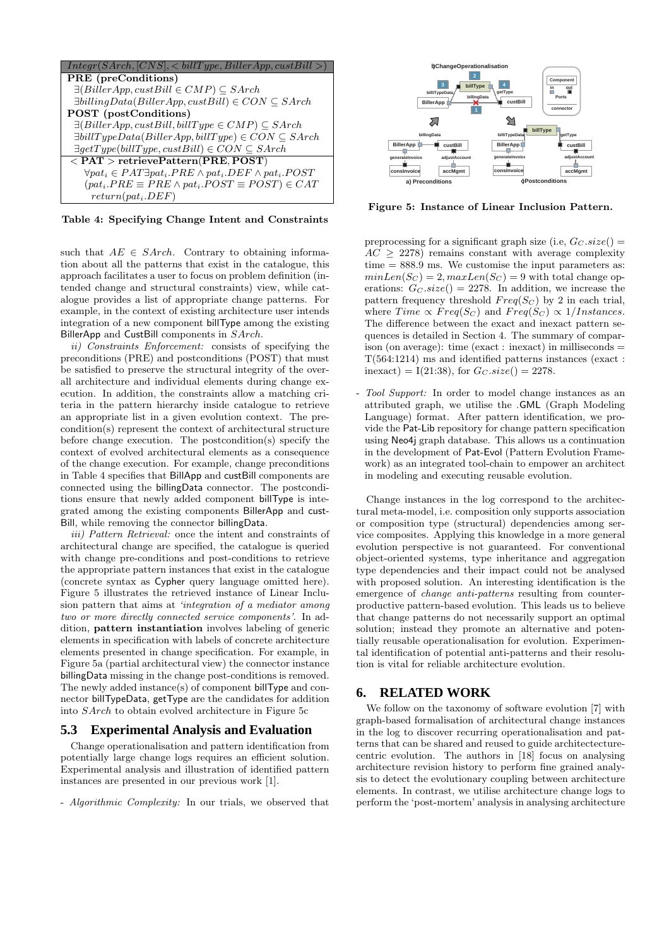

Table 4: Specifying Change Intent and Constraints

such that  $AE \in SArch$ . Contrary to obtaining information about all the patterns that exist in the catalogue, this approach facilitates a user to focus on problem definition (intended change and structural constraints) view, while catalogue provides a list of appropriate change patterns. For example, in the context of existing architecture user intends integration of a new component billType among the existing BillerApp and CustBill components in SArch.

*ii) Constraints Enforcement:* consists of specifying the preconditions (PRE) and postconditions (POST) that must be satisfied to preserve the structural integrity of the overall architecture and individual elements during change execution. In addition, the constraints allow a matching criteria in the pattern hierarchy inside catalogue to retrieve an appropriate list in a given evolution context. The precondition(s) represent the context of architectural structure before change execution. The postcondition(s) specify the context of evolved architectural elements as a consequence of the change execution. For example, change preconditions in Table 4 specifies that BillApp and custBill components are connected using the billingData connector. The postconditions ensure that newly added component billType is integrated among the existing components BillerApp and cust-Bill, while removing the connector billingData.

*iii) Pattern Retrieval:* once the intent and constraints of architectural change are specified, the catalogue is queried with change pre-conditions and post-conditions to retrieve the appropriate pattern instances that exist in the catalogue (concrete syntax as Cypher query language omitted here). Figure 5 illustrates the retrieved instance of Linear Inclusion pattern that aims at *'integration of a mediator among two or more directly connected service components'*. In addition, pattern instantiation involves labeling of generic elements in specification with labels of concrete architecture elements presented in change specification. For example, in Figure 5a (partial architectural view) the connector instance billingData missing in the change post-conditions is removed. The newly added instance(s) of component billType and connector billTypeData, getType are the candidates for addition into SArch to obtain evolved architecture in Figure 5c

#### **5.3 Experimental Analysis and Evaluation**

Change operationalisation and pattern identification from potentially large change logs requires an efficient solution. Experimental analysis and illustration of identified pattern instances are presented in our previous work [1].

- *Algorithmic Complexity:* In our trials, we observed that



Figure 5: Instance of Linear Inclusion Pattern.

preprocessing for a significant graph size (i.e,  $G_C.size()$ )  $AC \geq 2278$ ) remains constant with average complexity  $time = 888.9$  ms. We customise the input parameters as:  $minLen(S_C) = 2, maxLen(S_C) = 9$  with total change operations:  $G_C.size() = 2278$ . In addition, we increase the pattern frequency threshold  $Freq(S_C)$  by 2 in each trial, where  $Time \propto Freq(S_C)$  and  $Freq(S_C) \propto 1/Instances$ . The difference between the exact and inexact pattern sequences is detailed in Section 4. The summary of comparison (on average): time (exact : inexact) in milliseconds  $=$ T(564:1214) ms and identified patterns instances (exact : inexact) = I(21:38), for  $G_C.size() = 2278$ .

- *Tool Support:* In order to model change instances as an attributed graph, we utilise the .GML (Graph Modeling Language) format. After pattern identification, we provide the Pat-Lib repository for change pattern specification using Neo4j graph database. This allows us a continuation in the development of Pat-Evol (Pattern Evolution Framework) as an integrated tool-chain to empower an architect in modeling and executing reusable evolution.

Change instances in the log correspond to the architectural meta-model, i.e. composition only supports association or composition type (structural) dependencies among service composites. Applying this knowledge in a more general evolution perspective is not guaranteed. For conventional object-oriented systems, type inheritance and aggregation type dependencies and their impact could not be analysed with proposed solution. An interesting identification is the emergence of *change anti-patterns* resulting from counterproductive pattern-based evolution. This leads us to believe that change patterns do not necessarily support an optimal solution; instead they promote an alternative and potentially reusable operationalisation for evolution. Experimental identification of potential anti-patterns and their resolution is vital for reliable architecture evolution.

# **6. RELATED WORK**

We follow on the taxonomy of software evolution [7] with graph-based formalisation of architectural change instances in the log to discover recurring operationalisation and patterns that can be shared and reused to guide architectecturecentric evolution. The authors in [18] focus on analysing architecture revision history to perform fine grained analysis to detect the evolutionary coupling between architecture elements. In contrast, we utilise architecture change logs to perform the 'post-mortem' analysis in analysing architecture